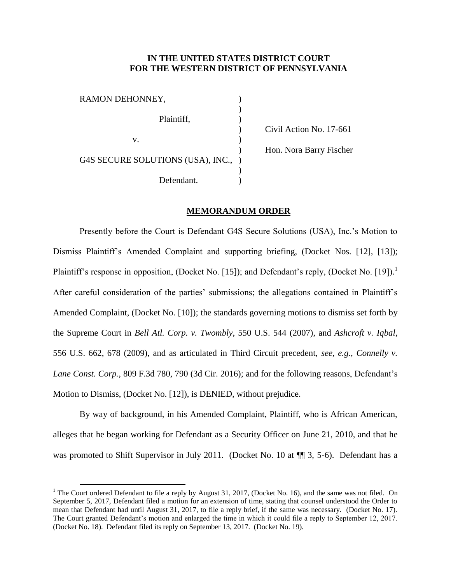## **IN THE UNITED STATES DISTRICT COURT FOR THE WESTERN DISTRICT OF PENNSYLVANIA**

|                                     | Civil Action No. 17-661 |
|-------------------------------------|-------------------------|
|                                     |                         |
|                                     | Hon. Nora Barry Fischer |
| G4S SECURE SOLUTIONS (USA), INC., ) |                         |
|                                     |                         |
|                                     |                         |
|                                     |                         |

## **MEMORANDUM ORDER**

Presently before the Court is Defendant G4S Secure Solutions (USA), Inc.'s Motion to Dismiss Plaintiff's Amended Complaint and supporting briefing, (Docket Nos. [12], [13]); Plaintiff's response in opposition, (Docket No. [15]); and Defendant's reply, (Docket No. [19]).<sup>1</sup> After careful consideration of the parties' submissions; the allegations contained in Plaintiff's Amended Complaint, (Docket No. [10]); the standards governing motions to dismiss set forth by the Supreme Court in *Bell Atl. Corp. v. Twombly*, 550 U.S. 544 (2007), and *Ashcroft v. Iqbal*, 556 U.S. 662, 678 (2009), and as articulated in Third Circuit precedent, *see, e.g.*, *Connelly v. Lane Const. Corp.*, 809 F.3d 780, 790 (3d Cir. 2016); and for the following reasons, Defendant's Motion to Dismiss, (Docket No. [12]), is DENIED, without prejudice.

By way of background, in his Amended Complaint, Plaintiff, who is African American, alleges that he began working for Defendant as a Security Officer on June 21, 2010, and that he was promoted to Shift Supervisor in July 2011. (Docket No. 10 at  $\P$   $\overline{ }$  3, 5-6). Defendant has a

 $\overline{a}$ 

<sup>&</sup>lt;sup>1</sup> The Court ordered Defendant to file a reply by August 31, 2017, (Docket No. 16), and the same was not filed. On September 5, 2017, Defendant filed a motion for an extension of time, stating that counsel understood the Order to mean that Defendant had until August 31, 2017, to file a reply brief, if the same was necessary. (Docket No. 17). The Court granted Defendant's motion and enlarged the time in which it could file a reply to September 12, 2017. (Docket No. 18). Defendant filed its reply on September 13, 2017. (Docket No. 19).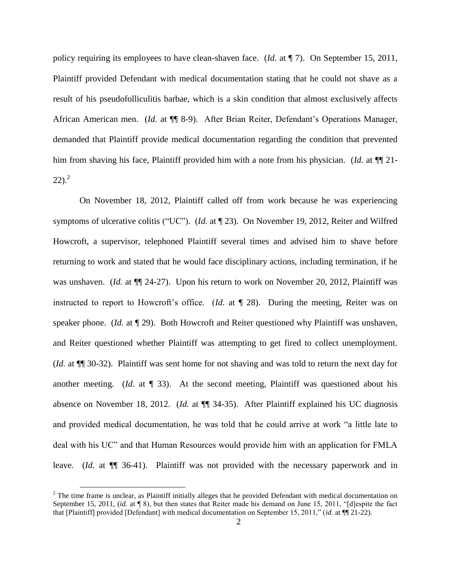policy requiring its employees to have clean-shaven face. (*Id.* at ¶ 7). On September 15, 2011, Plaintiff provided Defendant with medical documentation stating that he could not shave as a result of his pseudofolliculitis barbae, which is a skin condition that almost exclusively affects African American men. (*Id.* at  $\P$  8-9). After Brian Reiter, Defendant's Operations Manager, demanded that Plaintiff provide medical documentation regarding the condition that prevented him from shaving his face, Plaintiff provided him with a note from his physician. (*Id.* at  $\P$ <sup> $\parallel$ </sup> 21- $(22).^{2}$ 

On November 18, 2012, Plaintiff called off from work because he was experiencing symptoms of ulcerative colitis ("UC"). (*Id.* at ¶ 23). On November 19, 2012, Reiter and Wilfred Howcroft, a supervisor, telephoned Plaintiff several times and advised him to shave before returning to work and stated that he would face disciplinary actions, including termination, if he was unshaven. (*Id.* at  $\P$  24-27). Upon his return to work on November 20, 2012, Plaintiff was instructed to report to Howcroft's office. (*Id.* at ¶ 28). During the meeting, Reiter was on speaker phone. (*Id.* at ¶ 29). Both Howcroft and Reiter questioned why Plaintiff was unshaven, and Reiter questioned whether Plaintiff was attempting to get fired to collect unemployment. (*Id.* at ¶¶ 30-32). Plaintiff was sent home for not shaving and was told to return the next day for another meeting. (*Id.* at ¶ 33). At the second meeting, Plaintiff was questioned about his absence on November 18, 2012. (*Id.* at ¶¶ 34-35). After Plaintiff explained his UC diagnosis and provided medical documentation, he was told that he could arrive at work "a little late to deal with his UC" and that Human Resources would provide him with an application for FMLA leave. (*Id.* at  $\P$  36-41). Plaintiff was not provided with the necessary paperwork and in

 $\overline{a}$ 

 $2$  The time frame is unclear, as Plaintiff initially alleges that he provided Defendant with medical documentation on September 15, 2011, *(id.* at ¶ 8), but then states that Reiter made his demand on June 15, 2011, "Idlespite the fact that [Plaintiff] provided [Defendant] with medical documentation on September 15, 2011," (*id.* at ¶¶ 21-22).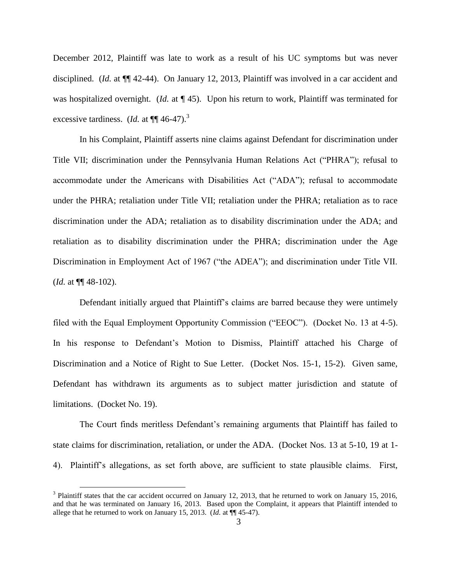December 2012, Plaintiff was late to work as a result of his UC symptoms but was never disciplined. (*Id.* at ¶¶ 42-44). On January 12, 2013, Plaintiff was involved in a car accident and was hospitalized overnight. (*Id.* at ¶ 45). Upon his return to work, Plaintiff was terminated for excessive tardiness. (*Id.* at  $\P$  $\P$  46-47).<sup>3</sup>

In his Complaint, Plaintiff asserts nine claims against Defendant for discrimination under Title VII; discrimination under the Pennsylvania Human Relations Act ("PHRA"); refusal to accommodate under the Americans with Disabilities Act ("ADA"); refusal to accommodate under the PHRA; retaliation under Title VII; retaliation under the PHRA; retaliation as to race discrimination under the ADA; retaliation as to disability discrimination under the ADA; and retaliation as to disability discrimination under the PHRA; discrimination under the Age Discrimination in Employment Act of 1967 ("the ADEA"); and discrimination under Title VII. (*Id.* at ¶¶ 48-102).

Defendant initially argued that Plaintiff's claims are barred because they were untimely filed with the Equal Employment Opportunity Commission ("EEOC"). (Docket No. 13 at 4-5). In his response to Defendant's Motion to Dismiss, Plaintiff attached his Charge of Discrimination and a Notice of Right to Sue Letter. (Docket Nos. 15-1, 15-2). Given same, Defendant has withdrawn its arguments as to subject matter jurisdiction and statute of limitations. (Docket No. 19).

The Court finds meritless Defendant's remaining arguments that Plaintiff has failed to state claims for discrimination, retaliation, or under the ADA. (Docket Nos. 13 at 5-10, 19 at 1- 4). Plaintiff's allegations, as set forth above, are sufficient to state plausible claims. First,

 $\overline{a}$ 

 $3$  Plaintiff states that the car accident occurred on January 12, 2013, that he returned to work on January 15, 2016, and that he was terminated on January 16, 2013. Based upon the Complaint, it appears that Plaintiff intended to allege that he returned to work on January 15, 2013. (*Id.* at ¶¶ 45-47).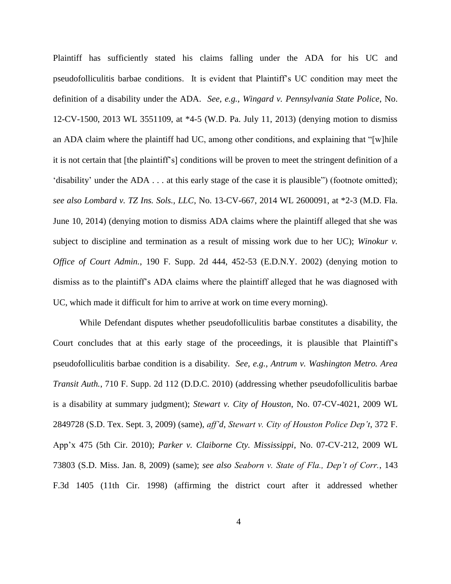Plaintiff has sufficiently stated his claims falling under the ADA for his UC and pseudofolliculitis barbae conditions. It is evident that Plaintiff's UC condition may meet the definition of a disability under the ADA. *See, e.g.*, *Wingard v. Pennsylvania State Police*, No. 12-CV-1500, 2013 WL 3551109, at \*4-5 (W.D. Pa. July 11, 2013) (denying motion to dismiss an ADA claim where the plaintiff had UC, among other conditions, and explaining that "[w]hile it is not certain that [the plaintiff's] conditions will be proven to meet the stringent definition of a 'disability' under the ADA . . . at this early stage of the case it is plausible") (footnote omitted); *see also Lombard v. TZ Ins. Sols., LLC*, No. 13-CV-667, 2014 WL 2600091, at \*2-3 (M.D. Fla. June 10, 2014) (denying motion to dismiss ADA claims where the plaintiff alleged that she was subject to discipline and termination as a result of missing work due to her UC); *Winokur v. Office of Court Admin.*, 190 F. Supp. 2d 444, 452-53 (E.D.N.Y. 2002) (denying motion to dismiss as to the plaintiff's ADA claims where the plaintiff alleged that he was diagnosed with UC, which made it difficult for him to arrive at work on time every morning).

While Defendant disputes whether pseudofolliculitis barbae constitutes a disability, the Court concludes that at this early stage of the proceedings, it is plausible that Plaintiff's pseudofolliculitis barbae condition is a disability. *See, e.g.*, *Antrum v. Washington Metro. Area Transit Auth.*, 710 F. Supp. 2d 112 (D.D.C. 2010) (addressing whether pseudofolliculitis barbae is a disability at summary judgment); *Stewart v. City of Houston*, No. 07-CV-4021, 2009 WL 2849728 (S.D. Tex. Sept. 3, 2009) (same), *aff'd*, *Stewart v. City of Houston Police Dep't*, 372 F. App'x 475 (5th Cir. 2010); *Parker v. Claiborne Cty. Mississippi*, No. 07-CV-212, 2009 WL 73803 (S.D. Miss. Jan. 8, 2009) (same); *see also Seaborn v. State of Fla., Dep't of Corr.*, 143 F.3d 1405 (11th Cir. 1998) (affirming the district court after it addressed whether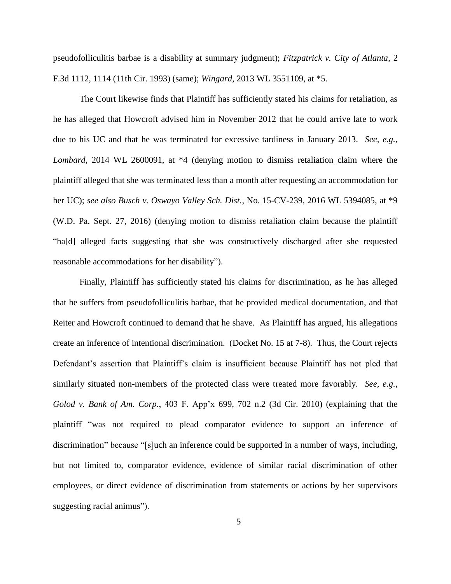pseudofolliculitis barbae is a disability at summary judgment); *Fitzpatrick v. City of Atlanta*, 2 F.3d 1112, 1114 (11th Cir. 1993) (same); *Wingard*, 2013 WL 3551109, at \*5.

The Court likewise finds that Plaintiff has sufficiently stated his claims for retaliation, as he has alleged that Howcroft advised him in November 2012 that he could arrive late to work due to his UC and that he was terminated for excessive tardiness in January 2013. *See, e.g.*, *Lombard*, 2014 WL 2600091, at \*4 (denying motion to dismiss retaliation claim where the plaintiff alleged that she was terminated less than a month after requesting an accommodation for her UC); *see also Busch v. Oswayo Valley Sch. Dist.*, No. 15-CV-239, 2016 WL 5394085, at \*9 (W.D. Pa. Sept. 27, 2016) (denying motion to dismiss retaliation claim because the plaintiff "ha[d] alleged facts suggesting that she was constructively discharged after she requested reasonable accommodations for her disability").

Finally, Plaintiff has sufficiently stated his claims for discrimination, as he has alleged that he suffers from pseudofolliculitis barbae, that he provided medical documentation, and that Reiter and Howcroft continued to demand that he shave. As Plaintiff has argued, his allegations create an inference of intentional discrimination. (Docket No. 15 at 7-8). Thus, the Court rejects Defendant's assertion that Plaintiff's claim is insufficient because Plaintiff has not pled that similarly situated non-members of the protected class were treated more favorably. *See, e.g.*, *Golod v. Bank of Am. Corp.*, 403 F. App'x 699, 702 n.2 (3d Cir. 2010) (explaining that the plaintiff "was not required to plead comparator evidence to support an inference of discrimination" because "[s]uch an inference could be supported in a number of ways, including, but not limited to, comparator evidence, evidence of similar racial discrimination of other employees, or direct evidence of discrimination from statements or actions by her supervisors suggesting racial animus").